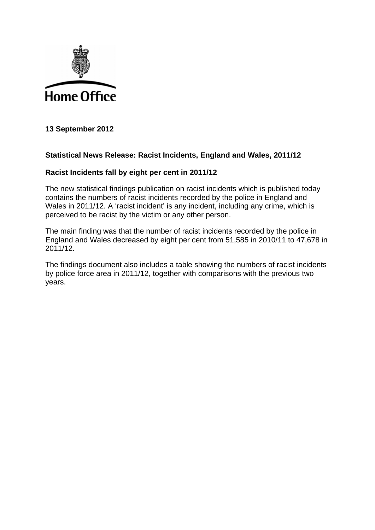

**13 September 2012**

## **Statistical News Release: Racist Incidents, England and Wales, 2011/12**

## **Racist Incidents fall by eight per cent in 2011/12**

The new statistical findings publication on racist incidents which is published today contains the numbers of racist incidents recorded by the police in England and Wales in 2011/12. A 'racist incident' is any incident, including any crime, which is perceived to be racist by the victim or any other person.

The main finding was that the number of racist incidents recorded by the police in England and Wales decreased by eight per cent from 51,585 in 2010/11 to 47,678 in 2011/12.

The findings document also includes a table showing the numbers of racist incidents by police force area in 2011/12, together with comparisons with the previous two years.